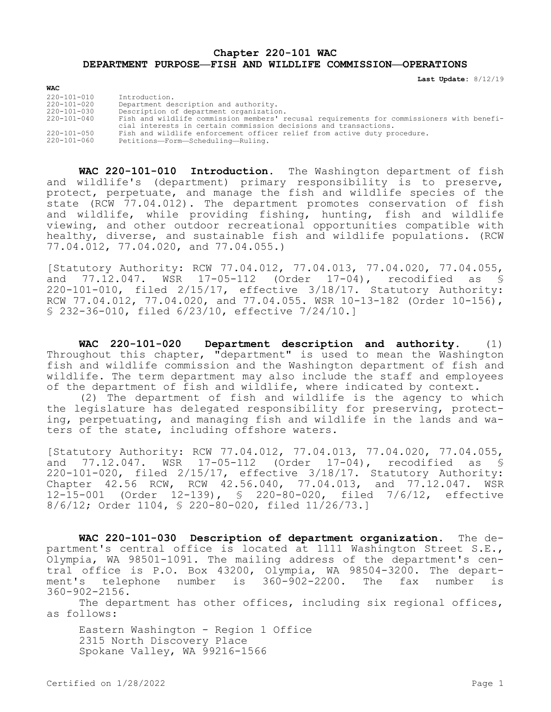## **Chapter 220-101 WAC DEPARTMENT PURPOSE—FISH AND WILDLIFE COMMISSION—OPERATIONS**

**Last Update:** 8/12/19

| <b>WAC</b>        |                                                                                                                                                               |
|-------------------|---------------------------------------------------------------------------------------------------------------------------------------------------------------|
| 220-101-010       | Introduction.                                                                                                                                                 |
| 220-101-020       | Department description and authority.                                                                                                                         |
| 220-101-030       | Description of department organization.                                                                                                                       |
| $220 - 101 - 040$ | Fish and wildlife commission members' recusal requirements for commissioners with benefi-<br>cial interests in certain commission decisions and transactions. |
| $220 - 101 - 050$ | Fish and wildlife enforcement officer relief from active duty procedure.                                                                                      |
| 220-101-060       | Petitions-Form-Scheduling-Ruling.                                                                                                                             |

**WAC 220-101-010 Introduction.** The Washington department of fish and wildlife's (department) primary responsibility is to preserve, protect, perpetuate, and manage the fish and wildlife species of the state (RCW 77.04.012). The department promotes conservation of fish and wildlife, while providing fishing, hunting, fish and wildlife viewing, and other outdoor recreational opportunities compatible with healthy, diverse, and sustainable fish and wildlife populations. (RCW 77.04.012, 77.04.020, and 77.04.055.)

[Statutory Authority: RCW 77.04.012, 77.04.013, 77.04.020, 77.04.055, and 77.12.047. WSR 17-05-112 (Order 17-04), recodified as § 220-101-010, filed 2/15/17, effective 3/18/17. Statutory Authority: RCW 77.04.012, 77.04.020, and 77.04.055. WSR 10-13-182 (Order 10-156), § 232-36-010, filed 6/23/10, effective 7/24/10.]

**WAC 220-101-020 Department description and authority.** (1) Throughout this chapter, "department" is used to mean the Washington fish and wildlife commission and the Washington department of fish and wildlife. The term department may also include the staff and employees of the department of fish and wildlife, where indicated by context.

(2) The department of fish and wildlife is the agency to which the legislature has delegated responsibility for preserving, protecting, perpetuating, and managing fish and wildlife in the lands and waters of the state, including offshore waters.

[Statutory Authority: RCW 77.04.012, 77.04.013, 77.04.020, 77.04.055, and 77.12.047. WSR 17-05-112 (Order 17-04), recodified as § 220-101-020, filed 2/15/17, effective 3/18/17. Statutory Authority: Chapter 42.56 RCW, RCW 42.56.040, 77.04.013, and 77.12.047. WSR 12-15-001 (Order 12-139), § 220-80-020, filed 7/6/12, effective 8/6/12; Order 1104, § 220-80-020, filed 11/26/73.]

**WAC 220-101-030 Description of department organization.** The department's central office is located at 1111 Washington Street S.E., Olympia, WA 98501-1091. The mailing address of the department's central office is P.O. Box 43200, Olympia, WA 98504-3200. The department's telephone number is 360-902-2200. The fax number is 360-902-2156.

The department has other offices, including six regional offices, as follows:

Eastern Washington - Region 1 Office 2315 North Discovery Place Spokane Valley, WA 99216-1566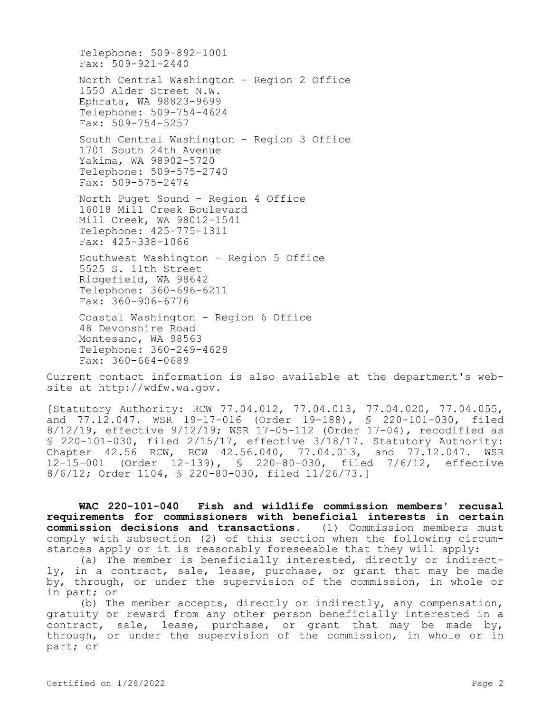Telephone: 509-892-1001 Fax: 509-921-2440 North Central Washington - Region 2 Office 1550 Alder Street N.W. Ephrata, WA 98823-9699 Telephone: 509-754-4624 Fax: 509-754-5257 South Central Washington - Region 3 Office 1701 South 24th Avenue Yakima, WA 98902-5720 Telephone: 509-575-2740 Fax: 509-575-2474 North Puget Sound - Region 4 Office 16018 Mill Creek Boulevard Mill Creek, WA 98012-1541 Telephone: 425-775-1311 Fax: 425-338-1066 Southwest Washington - Region 5 Office 5525 S. 11th Street Ridgefield, WA 98642 Telephone: 360-696-6211 Fax: 360-906-6776 Coastal Washington - Region 6 Office 48 Devonshire Road Montesano, WA 98563

Telephone: 360-249-4628 Fax: 360-664-0689

Current contact information is also available at the department's website at http://wdfw.wa.gov.

[Statutory Authority: RCW 77.04.012, 77.04.013, 77.04.020, 77.04.055, and 77.12.047. WSR 19-17-016 (Order 19-188), § 220-101-030, filed 8/12/19, effective 9/12/19; WSR 17-05-112 (Order 17-04), recodified as § 220-101-030, filed 2/15/17, effective 3/18/17. Statutory Authority: Chapter 42.56 RCW, RCW 42.56.040, 77.04.013, and 77.12.047. WSR 12-15-001 (Order 12-139), § 220-80-030, filed 7/6/12, effective 8/6/12; Order 1104, § 220-80-030, filed 11/26/73.]

**WAC 220-101-040 Fish and wildlife commission members' recusal requirements for commissioners with beneficial interests in certain commission decisions and transactions.** (1) Commission members must comply with subsection (2) of this section when the following circumstances apply or it is reasonably foreseeable that they will apply:

(a) The member is beneficially interested, directly or indirectly, in a contract, sale, lease, purchase, or grant that may be made by, through, or under the supervision of the commission, in whole or in part; or

(b) The member accepts, directly or indirectly, any compensation, gratuity or reward from any other person beneficially interested in a contract, sale, lease, purchase, or grant that may be made by, through, or under the supervision of the commission, in whole or in part; or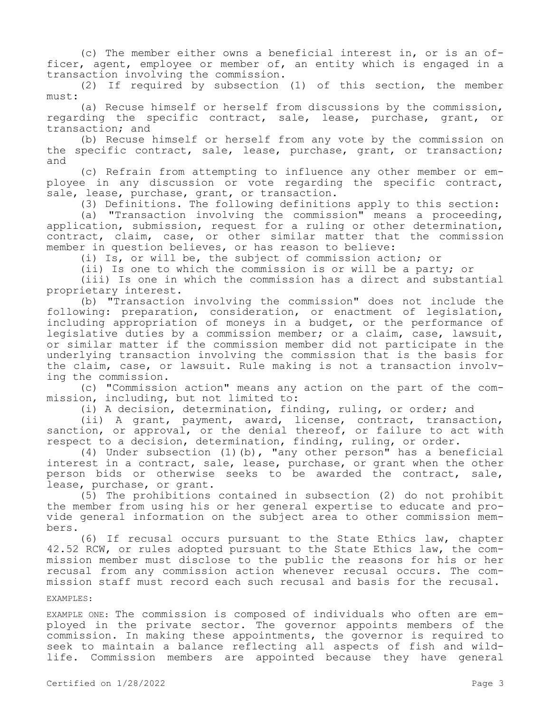(c) The member either owns a beneficial interest in, or is an officer, agent, employee or member of, an entity which is engaged in a transaction involving the commission.

(2) If required by subsection (1) of this section, the member  $m$ ust:

(a) Recuse himself or herself from discussions by the commission, regarding the specific contract, sale, lease, purchase, grant, or transaction; and

(b) Recuse himself or herself from any vote by the commission on the specific contract, sale, lease, purchase, grant, or transaction; and

(c) Refrain from attempting to influence any other member or employee in any discussion or vote regarding the specific contract, sale, lease, purchase, grant, or transaction.

(3) Definitions. The following definitions apply to this section:

(a) "Transaction involving the commission" means a proceeding, application, submission, request for a ruling or other determination, contract, claim, case, or other similar matter that the commission member in question believes, or has reason to believe:

(i) Is, or will be, the subject of commission action; or

(ii) Is one to which the commission is or will be a party; or

(iii) Is one in which the commission has a direct and substantial proprietary interest.

(b) "Transaction involving the commission" does not include the following: preparation, consideration, or enactment of legislation, including appropriation of moneys in a budget, or the performance of legislative duties by a commission member; or a claim, case, lawsuit, or similar matter if the commission member did not participate in the underlying transaction involving the commission that is the basis for the claim, case, or lawsuit. Rule making is not a transaction involving the commission.

(c) "Commission action" means any action on the part of the commission, including, but not limited to:

(i) A decision, determination, finding, ruling, or order; and

(ii) A grant, payment, award, license, contract, transaction, sanction, or approval, or the denial thereof, or failure to act with respect to a decision, determination, finding, ruling, or order.

(4) Under subsection (1)(b), "any other person" has a beneficial interest in a contract, sale, lease, purchase, or grant when the other person bids or otherwise seeks to be awarded the contract, sale, lease, purchase, or grant.

(5) The prohibitions contained in subsection (2) do not prohibit the member from using his or her general expertise to educate and provide general information on the subject area to other commission members.

(6) If recusal occurs pursuant to the State Ethics law, chapter 42.52 RCW, or rules adopted pursuant to the State Ethics law, the commission member must disclose to the public the reasons for his or her recusal from any commission action whenever recusal occurs. The commission staff must record each such recusal and basis for the recusal.

## EXAMPLES:

EXAMPLE ONE: The commission is composed of individuals who often are employed in the private sector. The governor appoints members of the commission. In making these appointments, the governor is required to seek to maintain a balance reflecting all aspects of fish and wildlife. Commission members are appointed because they have general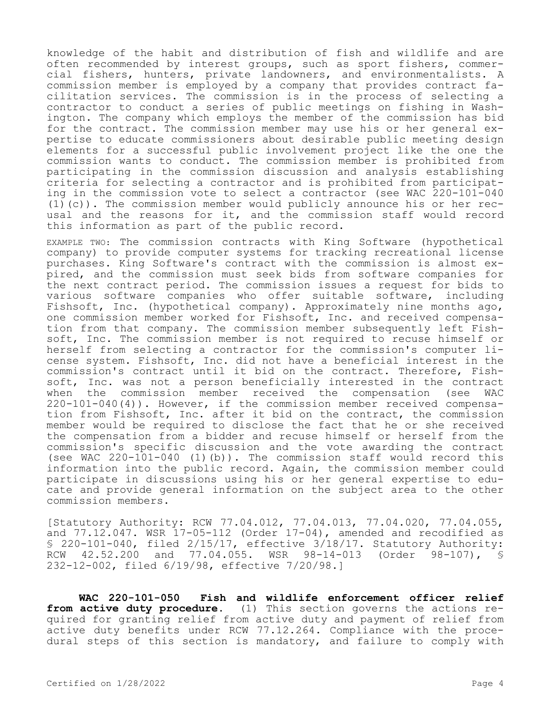knowledge of the habit and distribution of fish and wildlife and are often recommended by interest groups, such as sport fishers, commercial fishers, hunters, private landowners, and environmentalists. A commission member is employed by a company that provides contract facilitation services. The commission is in the process of selecting a contractor to conduct a series of public meetings on fishing in Washington. The company which employs the member of the commission has bid for the contract. The commission member may use his or her general expertise to educate commissioners about desirable public meeting design elements for a successful public involvement project like the one the commission wants to conduct. The commission member is prohibited from participating in the commission discussion and analysis establishing criteria for selecting a contractor and is prohibited from participating in the commission vote to select a contractor (see WAC 220-101-040 (1)(c)). The commission member would publicly announce his or her recusal and the reasons for it, and the commission staff would record this information as part of the public record.

EXAMPLE TWO: The commission contracts with King Software (hypothetical company) to provide computer systems for tracking recreational license purchases. King Software's contract with the commission is almost expired, and the commission must seek bids from software companies for the next contract period. The commission issues a request for bids to various software companies who offer suitable software, including Fishsoft, Inc. (hypothetical company). Approximately nine months ago, one commission member worked for Fishsoft, Inc. and received compensation from that company. The commission member subsequently left Fishsoft, Inc. The commission member is not required to recuse himself or herself from selecting a contractor for the commission's computer license system. Fishsoft, Inc. did not have a beneficial interest in the commission's contract until it bid on the contract. Therefore, Fishsoft, Inc. was not a person beneficially interested in the contract when the commission member received the compensation (see WAC 220-101-040(4)). However, if the commission member received compensation from Fishsoft, Inc. after it bid on the contract, the commission member would be required to disclose the fact that he or she received the compensation from a bidder and recuse himself or herself from the commission's specific discussion and the vote awarding the contract (see WAC  $220-101-040$  (1)(b)). The commission staff would record this information into the public record. Again, the commission member could participate in discussions using his or her general expertise to educate and provide general information on the subject area to the other commission members.

[Statutory Authority: RCW 77.04.012, 77.04.013, 77.04.020, 77.04.055, and  $77.12.047$ . WSR  $17-05-112$  (Order  $17-04$ ), amended and recodified as § 220-101-040, filed 2/15/17, effective 3/18/17. Statutory Authority:<br>RCW 42.52.200 and 77.04.055. WSR 98-14-013 (Order 98-107), § RCW 42.52.200 and 77.04.055. WSR 98-14-013 (Order 98-107), § 232-12-002, filed 6/19/98, effective 7/20/98.]

**WAC 220-101-050 Fish and wildlife enforcement officer relief from active duty procedure.** (1) This section governs the actions required for granting relief from active duty and payment of relief from active duty benefits under RCW 77.12.264. Compliance with the procedural steps of this section is mandatory, and failure to comply with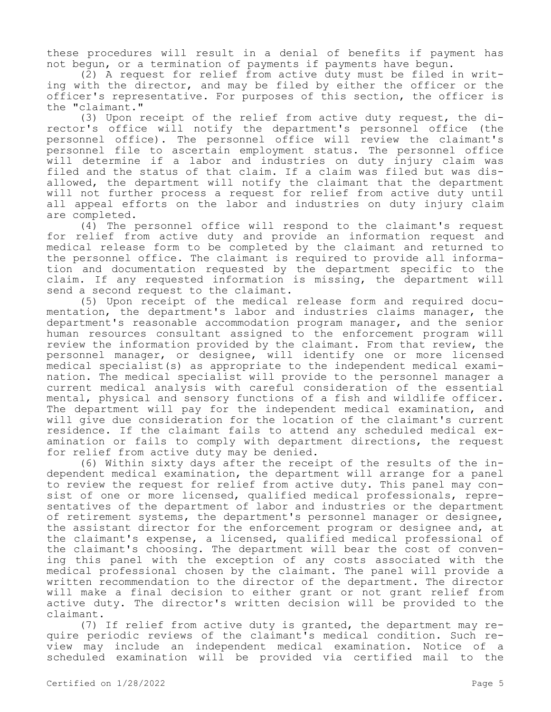these procedures will result in a denial of benefits if payment has not begun, or a termination of payments if payments have begun.

(2) A request for relief from active duty must be filed in writing with the director, and may be filed by either the officer or the officer's representative. For purposes of this section, the officer is the "claimant."

(3) Upon receipt of the relief from active duty request, the director's office will notify the department's personnel office (the personnel office). The personnel office will review the claimant's personnel file to ascertain employment status. The personnel office will determine if a labor and industries on duty injury claim was filed and the status of that claim. If a claim was filed but was disallowed, the department will notify the claimant that the department will not further process a request for relief from active duty until all appeal efforts on the labor and industries on duty injury claim are completed.

(4) The personnel office will respond to the claimant's request for relief from active duty and provide an information request and medical release form to be completed by the claimant and returned to the personnel office. The claimant is required to provide all information and documentation requested by the department specific to the claim. If any requested information is missing, the department will send a second request to the claimant.

(5) Upon receipt of the medical release form and required documentation, the department's labor and industries claims manager, the department's reasonable accommodation program manager, and the senior human resources consultant assigned to the enforcement program will review the information provided by the claimant. From that review, the personnel manager, or designee, will identify one or more licensed medical specialist(s) as appropriate to the independent medical examination. The medical specialist will provide to the personnel manager a current medical analysis with careful consideration of the essential mental, physical and sensory functions of a fish and wildlife officer. The department will pay for the independent medical examination, and will give due consideration for the location of the claimant's current residence. If the claimant fails to attend any scheduled medical examination or fails to comply with department directions, the request for relief from active duty may be denied.

(6) Within sixty days after the receipt of the results of the independent medical examination, the department will arrange for a panel to review the request for relief from active duty. This panel may consist of one or more licensed, qualified medical professionals, representatives of the department of labor and industries or the department of retirement systems, the department's personnel manager or designee, the assistant director for the enforcement program or designee and, at the claimant's expense, a licensed, qualified medical professional of the claimant's choosing. The department will bear the cost of convening this panel with the exception of any costs associated with the medical professional chosen by the claimant. The panel will provide a written recommendation to the director of the department. The director will make a final decision to either grant or not grant relief from active duty. The director's written decision will be provided to the claimant.

(7) If relief from active duty is granted, the department may require periodic reviews of the claimant's medical condition. Such review may include an independent medical examination. Notice of a scheduled examination will be provided via certified mail to the